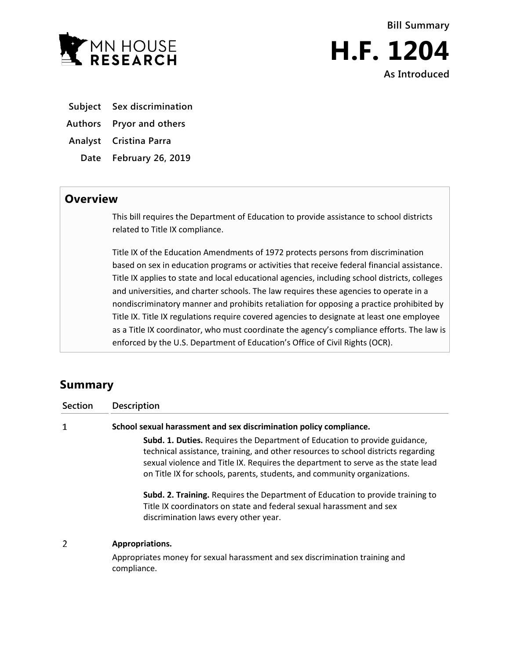



- **Subject Sex discrimination**
- **Authors Pryor and others**
- **Analyst Cristina Parra**
	- **Date February 26, 2019**

## **Overview**

This bill requires the Department of Education to provide assistance to school districts related to Title IX compliance.

Title IX of the Education Amendments of 1972 protects persons from discrimination based on sex in education programs or activities that receive federal financial assistance. Title IX applies to state and local educational agencies, including school districts, colleges and universities, and charter schools. The law requires these agencies to operate in a nondiscriminatory manner and prohibits retaliation for opposing a practice prohibited by Title IX. Title IX regulations require covered agencies to designate at least one employee as a Title IX coordinator, who must coordinate the agency's compliance efforts. The law is enforced by the U.S. Department of Education's Office of Civil Rights (OCR).

## **Summary**

| <b>Section</b> | <b>Description</b>                                                                                                                                                                                                                                                                                                                     |
|----------------|----------------------------------------------------------------------------------------------------------------------------------------------------------------------------------------------------------------------------------------------------------------------------------------------------------------------------------------|
| 1              | School sexual harassment and sex discrimination policy compliance.                                                                                                                                                                                                                                                                     |
|                | <b>Subd. 1. Duties.</b> Requires the Department of Education to provide guidance,<br>technical assistance, training, and other resources to school districts regarding<br>sexual violence and Title IX. Requires the department to serve as the state lead<br>on Title IX for schools, parents, students, and community organizations. |
|                | Subd. 2. Training. Requires the Department of Education to provide training to<br>Title IX coordinators on state and federal sexual harassment and sex<br>discrimination laws every other year.                                                                                                                                        |
| 2              | Appropriations.                                                                                                                                                                                                                                                                                                                        |
|                | Appropriates money for sexual harassment and sex discrimination training and<br>compliance.                                                                                                                                                                                                                                            |